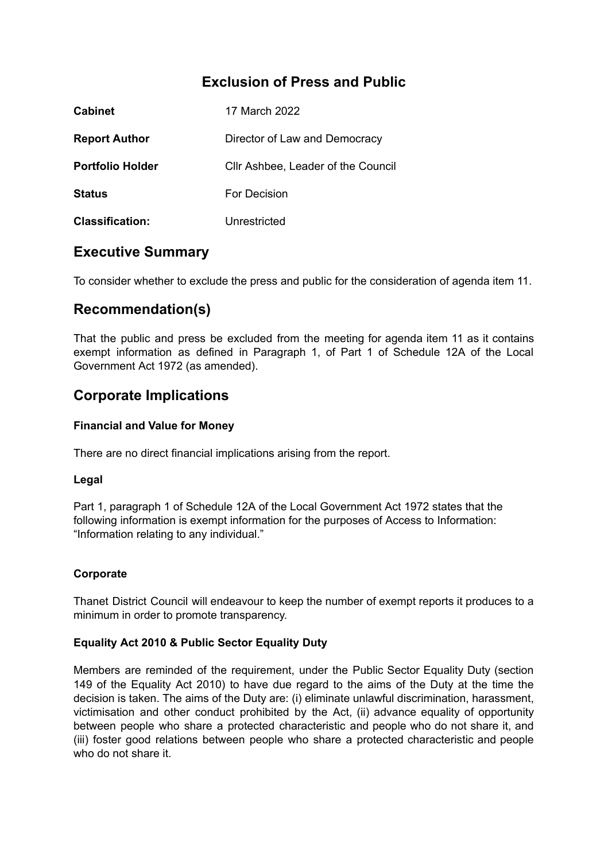# **Exclusion of Press and Public**

| <b>Cabinet</b>          | 17 March 2022                      |
|-------------------------|------------------------------------|
| <b>Report Author</b>    | Director of Law and Democracy      |
| <b>Portfolio Holder</b> | Cllr Ashbee, Leader of the Council |
| <b>Status</b>           | For Decision                       |
| <b>Classification:</b>  | Unrestricted                       |

## **Executive Summary**

To consider whether to exclude the press and public for the consideration of agenda item 11.

# **Recommendation(s)**

That the public and press be excluded from the meeting for agenda item 11 as it contains exempt information as defined in Paragraph 1, of Part 1 of Schedule 12A of the Local Government Act 1972 (as amended).

## **Corporate Implications**

#### **Financial and Value for Money**

There are no direct financial implications arising from the report.

## **Legal**

Part 1, paragraph 1 of Schedule 12A of the Local Government Act 1972 states that the following information is exempt information for the purposes of Access to Information: "Information relating to any individual."

## **Corporate**

Thanet District Council will endeavour to keep the number of exempt reports it produces to a minimum in order to promote transparency.

## **Equality Act 2010 & Public Sector Equality Duty**

Members are reminded of the requirement, under the Public Sector Equality Duty (section 149 of the Equality Act 2010) to have due regard to the aims of the Duty at the time the decision is taken. The aims of the Duty are: (i) eliminate unlawful discrimination, harassment, victimisation and other conduct prohibited by the Act, (ii) advance equality of opportunity between people who share a protected characteristic and people who do not share it, and (iii) foster good relations between people who share a protected characteristic and people who do not share it.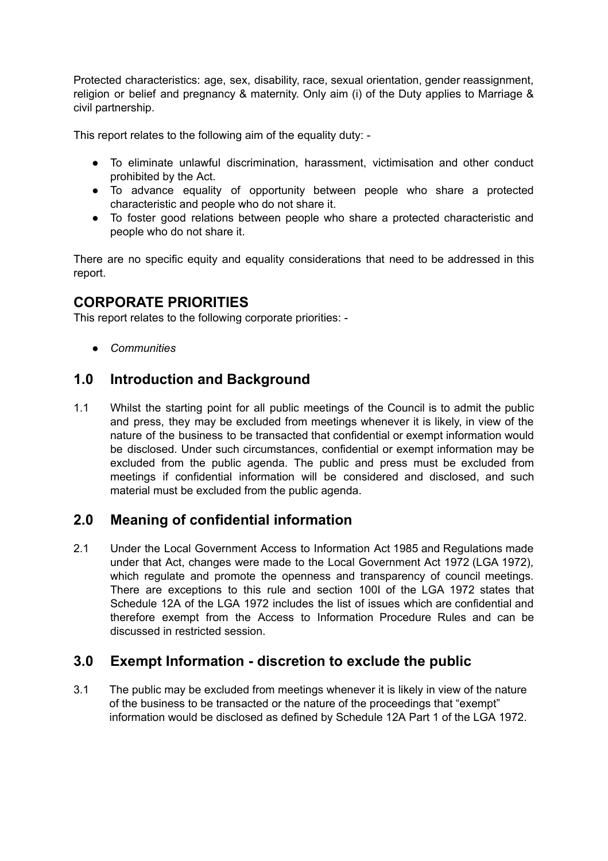Protected characteristics: age, sex, disability, race, sexual orientation, gender reassignment, religion or belief and pregnancy & maternity. Only aim (i) of the Duty applies to Marriage & civil partnership.

This report relates to the following aim of the equality duty: -

- To eliminate unlawful discrimination, harassment, victimisation and other conduct prohibited by the Act.
- To advance equality of opportunity between people who share a protected characteristic and people who do not share it.
- To foster good relations between people who share a protected characteristic and people who do not share it.

There are no specific equity and equality considerations that need to be addressed in this report.

## **CORPORATE PRIORITIES**

This report relates to the following corporate priorities: -

*● Communities*

## **1.0 Introduction and Background**

1.1 Whilst the starting point for all public meetings of the Council is to admit the public and press, they may be excluded from meetings whenever it is likely, in view of the nature of the business to be transacted that confidential or exempt information would be disclosed. Under such circumstances, confidential or exempt information may be excluded from the public agenda. The public and press must be excluded from meetings if confidential information will be considered and disclosed, and such material must be excluded from the public agenda.

## **2.0 Meaning of confidential information**

2.1 Under the Local Government Access to Information Act 1985 and Regulations made under that Act, changes were made to the Local Government Act 1972 (LGA 1972), which regulate and promote the openness and transparency of council meetings. There are exceptions to this rule and section 100I of the LGA 1972 states that Schedule 12A of the LGA 1972 includes the list of issues which are confidential and therefore exempt from the Access to Information Procedure Rules and can be discussed in restricted session.

## **3.0 Exempt Information - discretion to exclude the public**

3.1 The public may be excluded from meetings whenever it is likely in view of the nature of the business to be transacted or the nature of the proceedings that "exempt" information would be disclosed as defined by Schedule 12A Part 1 of the LGA 1972.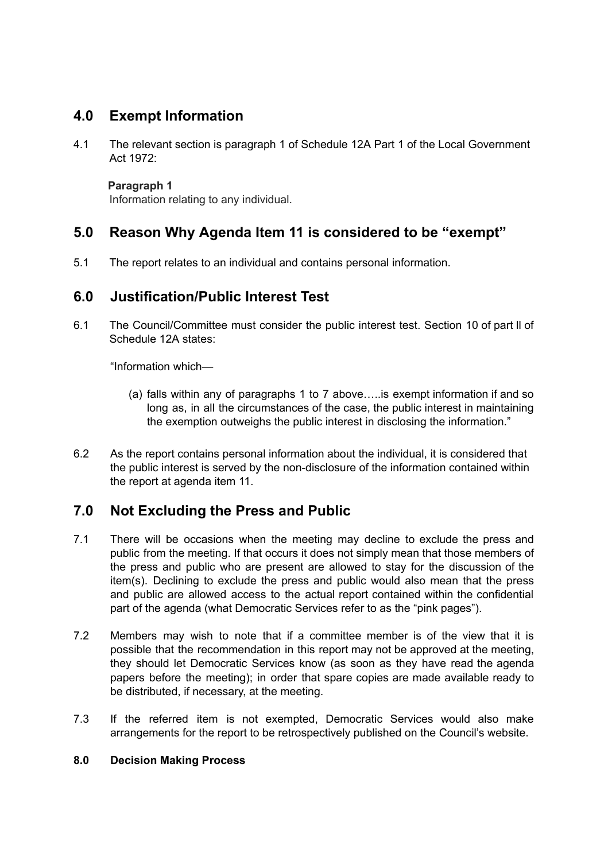# **4.0 Exempt Information**

4.1 The relevant section is paragraph 1 of Schedule 12A Part 1 of the Local Government Act 1972:

**Paragraph 1**

Information relating to any individual.

# **5.0 Reason Why Agenda Item 11 is considered to be "exempt"**

5.1 The report relates to an individual and contains personal information.

## **6.0 Justification/Public Interest Test**

6.1 The Council/Committee must consider the public interest test. Section 10 of part ll of Schedule 12A states:

"Information which—

- (a) falls within any of paragraphs 1 to 7 above…..is exempt information if and so long as, in all the circumstances of the case, the public interest in maintaining the exemption outweighs the public interest in disclosing the information."
- 6.2 As the report contains personal information about the individual, it is considered that the public interest is served by the non-disclosure of the information contained within the report at agenda item 11.

# **7.0 Not Excluding the Press and Public**

- 7.1 There will be occasions when the meeting may decline to exclude the press and public from the meeting. If that occurs it does not simply mean that those members of the press and public who are present are allowed to stay for the discussion of the item(s). Declining to exclude the press and public would also mean that the press and public are allowed access to the actual report contained within the confidential part of the agenda (what Democratic Services refer to as the "pink pages").
- 7.2 Members may wish to note that if a committee member is of the view that it is possible that the recommendation in this report may not be approved at the meeting, they should let Democratic Services know (as soon as they have read the agenda papers before the meeting); in order that spare copies are made available ready to be distributed, if necessary, at the meeting.
- 7.3 If the referred item is not exempted, Democratic Services would also make arrangements for the report to be retrospectively published on the Council's website.

## **8.0 Decision Making Process**